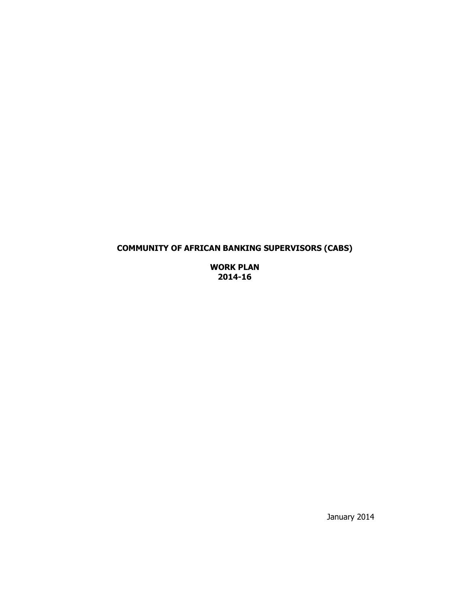# **COMMUNITY OF AFRICAN BANKING SUPERVISORS (CABS)**

**WORK PLAN 2014-16** 

January 2014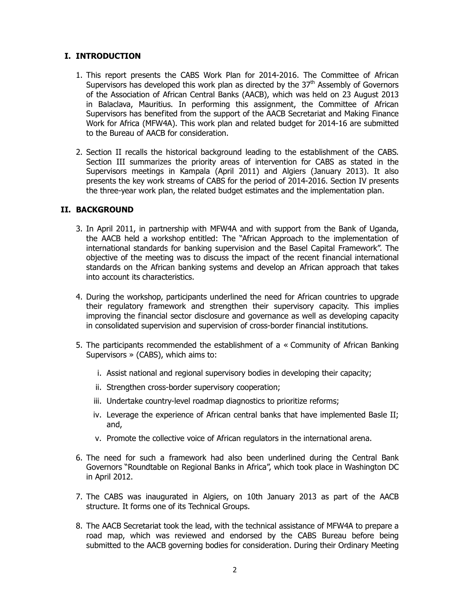#### **I. INTRODUCTION**

- 1. This report presents the CABS Work Plan for 2014-2016. The Committee of African Supervisors has developed this work plan as directed by the  $37<sup>th</sup>$  Assembly of Governors of the Association of African Central Banks (AACB), which was held on 23 August 2013 in Balaclava, Mauritius. In performing this assignment, the Committee of African Supervisors has benefited from the support of the AACB Secretariat and Making Finance Work for Africa (MFW4A). This work plan and related budget for 2014-16 are submitted to the Bureau of AACB for consideration.
- 2. Section II recalls the historical background leading to the establishment of the CABS. Section III summarizes the priority areas of intervention for CABS as stated in the Supervisors meetings in Kampala (April 2011) and Algiers (January 2013). It also presents the key work streams of CABS for the period of 2014-2016. Section IV presents the three-year work plan, the related budget estimates and the implementation plan.

### **II. BACKGROUND**

- 3. In April 2011, in partnership with MFW4A and with support from the Bank of Uganda, the AACB held a workshop entitled: The "African Approach to the implementation of international standards for banking supervision and the Basel Capital Framework". The objective of the meeting was to discuss the impact of the recent financial international standards on the African banking systems and develop an African approach that takes into account its characteristics.
- 4. During the workshop, participants underlined the need for African countries to upgrade their regulatory framework and strengthen their supervisory capacity. This implies improving the financial sector disclosure and governance as well as developing capacity in consolidated supervision and supervision of cross-border financial institutions.
- 5. The participants recommended the establishment of a « Community of African Banking Supervisors » (CABS), which aims to:
	- i. Assist national and regional supervisory bodies in developing their capacity;
	- ii. Strengthen cross-border supervisory cooperation;
	- iii. Undertake country-level roadmap diagnostics to prioritize reforms;
	- iv. Leverage the experience of African central banks that have implemented Basle II; and,
	- v. Promote the collective voice of African regulators in the international arena.
- 6. The need for such a framework had also been underlined during the Central Bank Governors "Roundtable on Regional Banks in Africa", which took place in Washington DC in April 2012.
- 7. The CABS was inaugurated in Algiers, on 10th January 2013 as part of the AACB structure. It forms one of its Technical Groups.
- 8. The AACB Secretariat took the lead, with the technical assistance of MFW4A to prepare a road map, which was reviewed and endorsed by the CABS Bureau before being submitted to the AACB governing bodies for consideration. During their Ordinary Meeting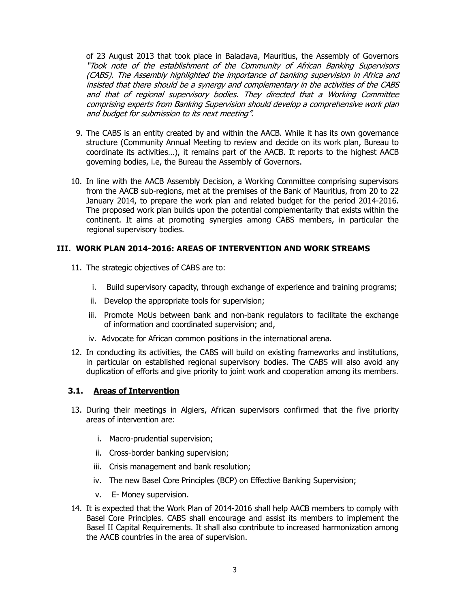of 23 August 2013 that took place in Balaclava, Mauritius, the Assembly of Governors "Took note of the establishment of the Community of African Banking Supervisors (CABS). The Assembly highlighted the importance of banking supervision in Africa and insisted that there should be a synergy and complementary in the activities of the CABS and that of regional supervisory bodies. They directed that a Working Committee comprising experts from Banking Supervision should develop a comprehensive work plan and budget for submission to its next meeting".

- 9. The CABS is an entity created by and within the AACB. While it has its own governance structure (Community Annual Meeting to review and decide on its work plan, Bureau to coordinate its activities…), it remains part of the AACB. It reports to the highest AACB governing bodies, i.e, the Bureau the Assembly of Governors.
- 10. In line with the AACB Assembly Decision, a Working Committee comprising supervisors from the AACB sub-regions, met at the premises of the Bank of Mauritius, from 20 to 22 January 2014, to prepare the work plan and related budget for the period 2014-2016. The proposed work plan builds upon the potential complementarity that exists within the continent. It aims at promoting synergies among CABS members, in particular the regional supervisory bodies.

### **III. WORK PLAN 2014-2016: AREAS OF INTERVENTION AND WORK STREAMS**

- 11. The strategic objectives of CABS are to:
	- i. Build supervisory capacity, through exchange of experience and training programs;
	- ii. Develop the appropriate tools for supervision;
	- iii. Promote MoUs between bank and non-bank regulators to facilitate the exchange of information and coordinated supervision; and,
	- iv. Advocate for African common positions in the international arena.
- 12. In conducting its activities, the CABS will build on existing frameworks and institutions, in particular on established regional supervisory bodies. The CABS will also avoid any duplication of efforts and give priority to joint work and cooperation among its members.

## **3.1. Areas of Intervention**

- 13. During their meetings in Algiers, African supervisors confirmed that the five priority areas of intervention are:
	- i. Macro-prudential supervision;
	- ii. Cross-border banking supervision;
	- iii. Crisis management and bank resolution;
	- iv. The new Basel Core Principles (BCP) on Effective Banking Supervision;
	- v. E- Money supervision.
- 14. It is expected that the Work Plan of 2014-2016 shall help AACB members to comply with Basel Core Principles. CABS shall encourage and assist its members to implement the Basel II Capital Requirements. It shall also contribute to increased harmonization among the AACB countries in the area of supervision.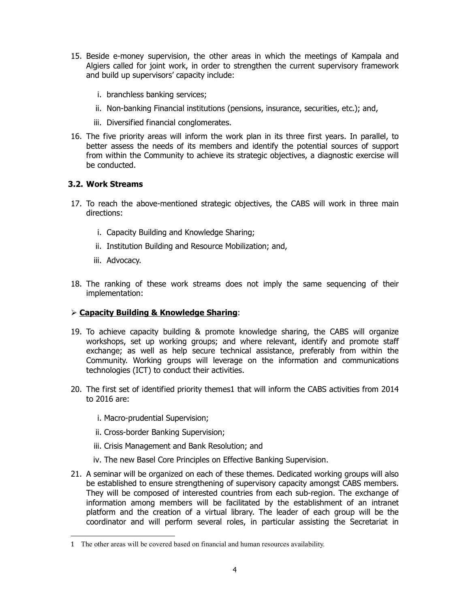- 15. Beside e-money supervision, the other areas in which the meetings of Kampala and Algiers called for joint work, in order to strengthen the current supervisory framework and build up supervisors' capacity include:
	- i. branchless banking services;
	- ii. Non-banking Financial institutions (pensions, insurance, securities, etc.); and,
	- iii. Diversified financial conglomerates.
- 16. The five priority areas will inform the work plan in its three first years. In parallel, to better assess the needs of its members and identify the potential sources of support from within the Community to achieve its strategic objectives, a diagnostic exercise will be conducted.

## **3.2. Work Streams**

- 17. To reach the above-mentioned strategic objectives, the CABS will work in three main directions:
	- i. Capacity Building and Knowledge Sharing;
	- ii. Institution Building and Resource Mobilization; and,
	- iii. Advocacy.

 $\overline{a}$ 

18. The ranking of these work streams does not imply the same sequencing of their implementation:

## **Capacity Building & Knowledge Sharing**:

- 19. To achieve capacity building & promote knowledge sharing, the CABS will organize workshops, set up working groups; and where relevant, identify and promote staff exchange; as well as help secure technical assistance, preferably from within the Community. Working groups will leverage on the information and communications technologies (ICT) to conduct their activities.
- 20. The first set of identified priority themes1 that will inform the CABS activities from 2014 to 2016 are:
	- i. Macro-prudential Supervision;
	- ii. Cross-border Banking Supervision;
	- iii. Crisis Management and Bank Resolution; and
	- iv. The new Basel Core Principles on Effective Banking Supervision.
- 21. A seminar will be organized on each of these themes. Dedicated working groups will also be established to ensure strengthening of supervisory capacity amongst CABS members. They will be composed of interested countries from each sub-region. The exchange of information among members will be facilitated by the establishment of an intranet platform and the creation of a virtual library. The leader of each group will be the coordinator and will perform several roles, in particular assisting the Secretariat in

<sup>1</sup> The other areas will be covered based on financial and human resources availability.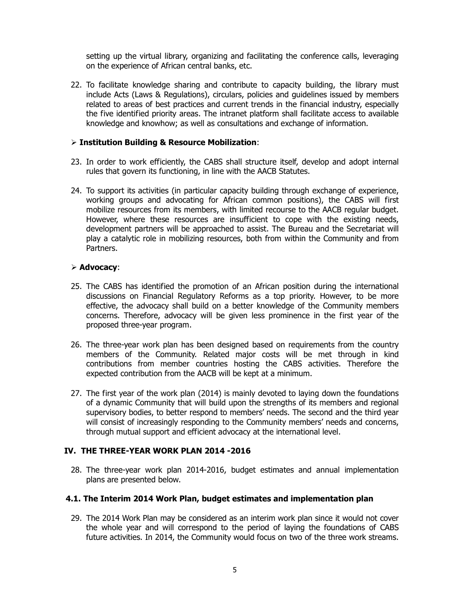setting up the virtual library, organizing and facilitating the conference calls, leveraging on the experience of African central banks, etc.

22. To facilitate knowledge sharing and contribute to capacity building, the library must include Acts (Laws & Regulations), circulars, policies and guidelines issued by members related to areas of best practices and current trends in the financial industry, especially the five identified priority areas. The intranet platform shall facilitate access to available knowledge and knowhow; as well as consultations and exchange of information.

#### **Institution Building & Resource Mobilization**:

- 23. In order to work efficiently, the CABS shall structure itself, develop and adopt internal rules that govern its functioning, in line with the AACB Statutes.
- 24. To support its activities (in particular capacity building through exchange of experience, working groups and advocating for African common positions), the CABS will first mobilize resources from its members, with limited recourse to the AACB regular budget. However, where these resources are insufficient to cope with the existing needs, development partners will be approached to assist. The Bureau and the Secretariat will play a catalytic role in mobilizing resources, both from within the Community and from Partners.

#### **Advocacy**:

- 25. The CABS has identified the promotion of an African position during the international discussions on Financial Regulatory Reforms as a top priority. However, to be more effective, the advocacy shall build on a better knowledge of the Community members concerns. Therefore, advocacy will be given less prominence in the first year of the proposed three-year program.
- 26. The three-year work plan has been designed based on requirements from the country members of the Community. Related major costs will be met through in kind contributions from member countries hosting the CABS activities. Therefore the expected contribution from the AACB will be kept at a minimum.
- 27. The first year of the work plan (2014) is mainly devoted to laying down the foundations of a dynamic Community that will build upon the strengths of its members and regional supervisory bodies, to better respond to members' needs. The second and the third year will consist of increasingly responding to the Community members' needs and concerns, through mutual support and efficient advocacy at the international level.

## **IV. THE THREE-YEAR WORK PLAN 2014 -2016**

28. The three-year work plan 2014-2016, budget estimates and annual implementation plans are presented below.

#### **4.1. The Interim 2014 Work Plan, budget estimates and implementation plan**

29. The 2014 Work Plan may be considered as an interim work plan since it would not cover the whole year and will correspond to the period of laying the foundations of CABS future activities. In 2014, the Community would focus on two of the three work streams.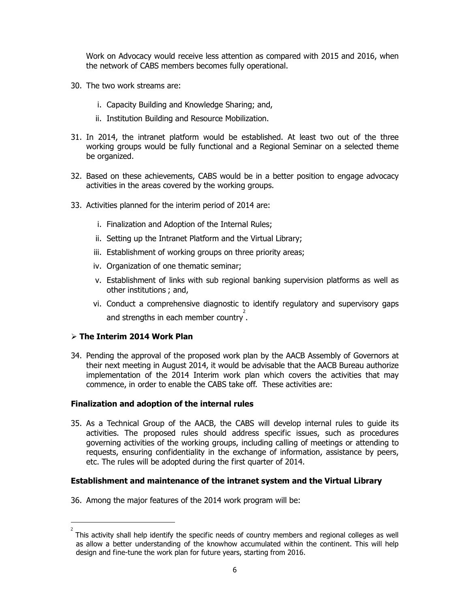Work on Advocacy would receive less attention as compared with 2015 and 2016, when the network of CABS members becomes fully operational.

- 30. The two work streams are:
	- i. Capacity Building and Knowledge Sharing; and,
	- ii. Institution Building and Resource Mobilization.
- 31. In 2014, the intranet platform would be established. At least two out of the three working groups would be fully functional and a Regional Seminar on a selected theme be organized.
- 32. Based on these achievements, CABS would be in a better position to engage advocacy activities in the areas covered by the working groups.
- 33. Activities planned for the interim period of 2014 are:
	- i. Finalization and Adoption of the Internal Rules;
	- ii. Setting up the Intranet Platform and the Virtual Library;
	- iii. Establishment of working groups on three priority areas;
	- iv. Organization of one thematic seminar;
	- v. Establishment of links with sub regional banking supervision platforms as well as other institutions ; and,
- vi. Conduct a comprehensive diagnostic to identify regulatory and supervisory gaps and strengths in each member country.

## **The Interim 2014 Work Plan**

 $\overline{a}$ 

34. Pending the approval of the proposed work plan by the AACB Assembly of Governors at their next meeting in August 2014, it would be advisable that the AACB Bureau authorize implementation of the 2014 Interim work plan which covers the activities that may commence, in order to enable the CABS take off. These activities are:

## **Finalization and adoption of the internal rules**

35. As a Technical Group of the AACB, the CABS will develop internal rules to guide its activities. The proposed rules should address specific issues, such as procedures governing activities of the working groups, including calling of meetings or attending to requests, ensuring confidentiality in the exchange of information, assistance by peers, etc. The rules will be adopted during the first quarter of 2014.

#### **Establishment and maintenance of the intranet system and the Virtual Library**

36. Among the major features of the 2014 work program will be:

<sup>2</sup> This activity shall help identify the specific needs of country members and regional colleges as well as allow a better understanding of the knowhow accumulated within the continent. This will help design and fine-tune the work plan for future years, starting from 2016.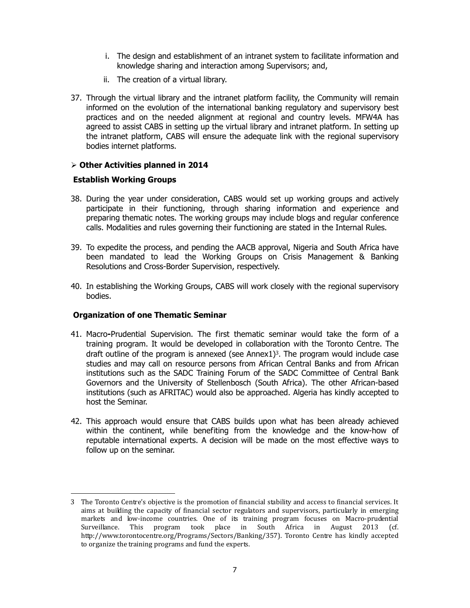- i. The design and establishment of an intranet system to facilitate information and knowledge sharing and interaction among Supervisors; and,
- ii. The creation of a virtual library.
- 37. Through the virtual library and the intranet platform facility, the Community will remain informed on the evolution of the international banking regulatory and supervisory best practices and on the needed alignment at regional and country levels. MFW4A has agreed to assist CABS in setting up the virtual library and intranet platform. In setting up the intranet platform, CABS will ensure the adequate link with the regional supervisory bodies internet platforms.

### **Other Activities planned in 2014**

#### **Establish Working Groups**

- 38. During the year under consideration, CABS would set up working groups and actively participate in their functioning, through sharing information and experience and preparing thematic notes. The working groups may include blogs and regular conference calls. Modalities and rules governing their functioning are stated in the Internal Rules.
- 39. To expedite the process, and pending the AACB approval, Nigeria and South Africa have been mandated to lead the Working Groups on Crisis Management & Banking Resolutions and Cross-Border Supervision, respectively.
- 40. In establishing the Working Groups, CABS will work closely with the regional supervisory bodies.

## **Organization of one Thematic Seminar**

- 41. Macro**-**Prudential Supervision. The first thematic seminar would take the form of a training program. It would be developed in collaboration with the Toronto Centre. The draft outline of the program is annexed (see Annex1) <sup>3</sup>. The program would include case studies and may call on resource persons from African Central Banks and from African institutions such as the SADC Training Forum of the SADC Committee of Central Bank Governors and the University of Stellenbosch (South Africa). The other African-based institutions (such as AFRITAC) would also be approached. Algeria has kindly accepted to host the Seminar.
- 42. This approach would ensure that CABS builds upon what has been already achieved within the continent, while benefiting from the knowledge and the know-how of reputable international experts. A decision will be made on the most effective ways to follow up on the seminar.

 $\ddot{\phantom{a}}$ 3 The Toronto Centre's objective is the promotion of financial stability and access to financial services. It aims at building the capacity of financial sector regulators and supervisors, particularly in emerging markets and low-income countries. One of its training program focuses on Macro-prudential Surveillance. This program took place in South Africa in August 2013 (cf. http://www.torontocentre.org/Programs/Sectors/Banking/357). Toronto Centre has kindly accepted to organize the training programs and fund the experts.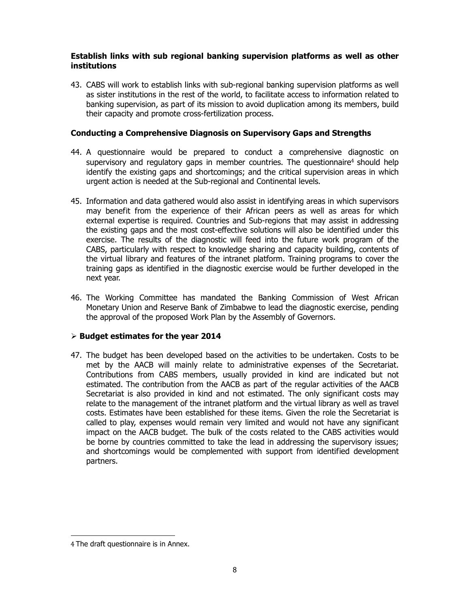#### **Establish links with sub regional banking supervision platforms as well as other institutions**

43. CABS will work to establish links with sub-regional banking supervision platforms as well as sister institutions in the rest of the world, to facilitate access to information related to banking supervision, as part of its mission to avoid duplication among its members, build their capacity and promote cross-fertilization process.

### **Conducting a Comprehensive Diagnosis on Supervisory Gaps and Strengths**

- 44. A questionnaire would be prepared to conduct a comprehensive diagnostic on supervisory and regulatory gaps in member countries. The questionnaire<sup>4</sup> should help identify the existing gaps and shortcomings; and the critical supervision areas in which urgent action is needed at the Sub-regional and Continental levels.
- 45. Information and data gathered would also assist in identifying areas in which supervisors may benefit from the experience of their African peers as well as areas for which external expertise is required. Countries and Sub-regions that may assist in addressing the existing gaps and the most cost-effective solutions will also be identified under this exercise. The results of the diagnostic will feed into the future work program of the CABS, particularly with respect to knowledge sharing and capacity building, contents of the virtual library and features of the intranet platform. Training programs to cover the training gaps as identified in the diagnostic exercise would be further developed in the next year.
- 46. The Working Committee has mandated the Banking Commission of West African Monetary Union and Reserve Bank of Zimbabwe to lead the diagnostic exercise, pending the approval of the proposed Work Plan by the Assembly of Governors.

## **Budget estimates for the year 2014**

47. The budget has been developed based on the activities to be undertaken. Costs to be met by the AACB will mainly relate to administrative expenses of the Secretariat. Contributions from CABS members, usually provided in kind are indicated but not estimated. The contribution from the AACB as part of the regular activities of the AACB Secretariat is also provided in kind and not estimated. The only significant costs may relate to the management of the intranet platform and the virtual library as well as travel costs. Estimates have been established for these items. Given the role the Secretariat is called to play, expenses would remain very limited and would not have any significant impact on the AACB budget. The bulk of the costs related to the CABS activities would be borne by countries committed to take the lead in addressing the supervisory issues; and shortcomings would be complemented with support from identified development partners.

 $\ddot{\phantom{a}}$ 

<sup>4</sup> The draft questionnaire is in Annex.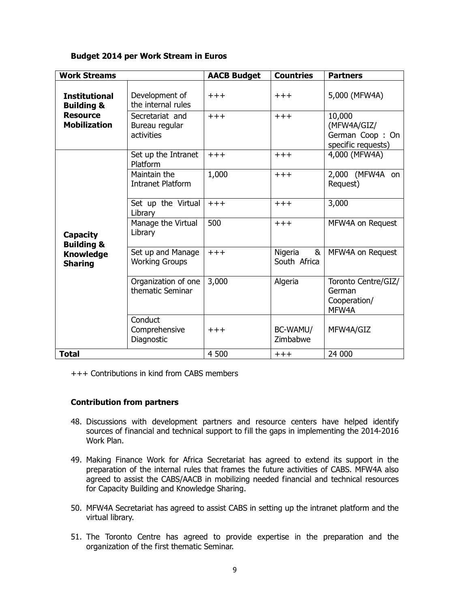#### **Budget 2014 per Work Stream in Euros**

| <b>Work Streams</b>                                                            |                                                 | <b>AACB Budget</b> | <b>Countries</b>             | <b>Partners</b>                                                |
|--------------------------------------------------------------------------------|-------------------------------------------------|--------------------|------------------------------|----------------------------------------------------------------|
| <b>Institutional</b><br><b>Building &amp;</b>                                  | Development of<br>the internal rules            | $+ + +$            | $++++$                       | 5,000 (MFW4A)                                                  |
| <b>Resource</b><br><b>Mobilization</b>                                         | Secretariat and<br>Bureau regular<br>activities | $+++$              | $+ + +$                      | 10,000<br>(MFW4A/GIZ/<br>German Coop: On<br>specific requests) |
| <b>Capacity</b><br><b>Building &amp;</b><br><b>Knowledge</b><br><b>Sharing</b> | Set up the Intranet<br>Platform                 | $+++$              | $+ + +$                      | 4,000 (MFW4A)                                                  |
|                                                                                | Maintain the<br><b>Intranet Platform</b>        | 1,000              | $+ + +$                      | 2,000 (MFW4A on<br>Request)                                    |
|                                                                                | Set up the Virtual<br>Library                   | $+++$              | $+++$                        | 3,000                                                          |
|                                                                                | Manage the Virtual<br>Library                   | 500                | $+++$                        | MFW4A on Request                                               |
|                                                                                | Set up and Manage<br><b>Working Groups</b>      | $+++$              | Nigeria<br>&<br>South Africa | MFW4A on Request                                               |
|                                                                                | Organization of one<br>thematic Seminar         | 3,000              | Algeria                      | Toronto Centre/GIZ/<br>German<br>Cooperation/<br>MFW4A         |
|                                                                                | Conduct<br>Comprehensive<br>Diagnostic          | $+++$              | BC-WAMU/<br>Zimbabwe         | MFW4A/GIZ                                                      |
| <b>Total</b>                                                                   |                                                 | 4 500              | $^{+++}$                     | 24 000                                                         |

+++ Contributions in kind from CABS members

#### **Contribution from partners**

- 48. Discussions with development partners and resource centers have helped identify sources of financial and technical support to fill the gaps in implementing the 2014-2016 Work Plan.
- 49. Making Finance Work for Africa Secretariat has agreed to extend its support in the preparation of the internal rules that frames the future activities of CABS. MFW4A also agreed to assist the CABS/AACB in mobilizing needed financial and technical resources for Capacity Building and Knowledge Sharing.
- 50. MFW4A Secretariat has agreed to assist CABS in setting up the intranet platform and the virtual library.
- 51. The Toronto Centre has agreed to provide expertise in the preparation and the organization of the first thematic Seminar.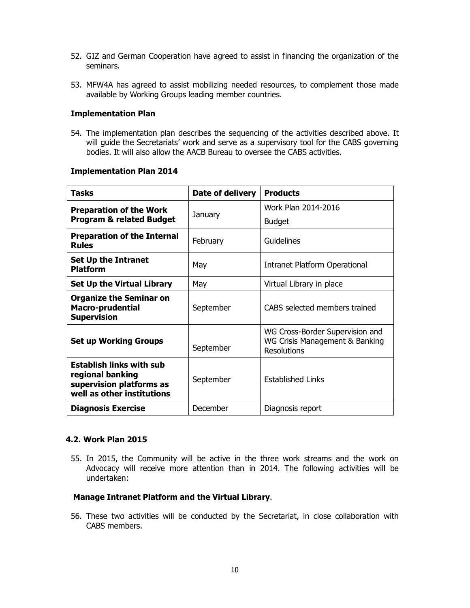- 52. GIZ and German Cooperation have agreed to assist in financing the organization of the seminars.
- 53. MFW4A has agreed to assist mobilizing needed resources, to complement those made available by Working Groups leading member countries.

#### **Implementation Plan**

54. The implementation plan describes the sequencing of the activities described above. It will guide the Secretariats' work and serve as a supervisory tool for the CABS governing bodies. It will also allow the AACB Bureau to oversee the CABS activities.

#### **Implementation Plan 2014**

| Tasks                                                                                                         | Date of delivery | <b>Products</b>                                                                         |  |
|---------------------------------------------------------------------------------------------------------------|------------------|-----------------------------------------------------------------------------------------|--|
| <b>Preparation of the Work</b>                                                                                | January          | Work Plan 2014-2016                                                                     |  |
| <b>Program &amp; related Budget</b>                                                                           |                  | <b>Budget</b>                                                                           |  |
| <b>Preparation of the Internal</b><br><b>Rules</b>                                                            | February         | Guidelines                                                                              |  |
| <b>Set Up the Intranet</b><br><b>Platform</b>                                                                 | May              | Intranet Platform Operational                                                           |  |
| <b>Set Up the Virtual Library</b>                                                                             | May              | Virtual Library in place                                                                |  |
| <b>Organize the Seminar on</b><br><b>Macro-prudential</b><br><b>Supervision</b>                               | September        | CABS selected members trained                                                           |  |
| <b>Set up Working Groups</b>                                                                                  | September        | WG Cross-Border Supervision and<br>WG Crisis Management & Banking<br><b>Resolutions</b> |  |
| <b>Establish links with sub</b><br>regional banking<br>supervision platforms as<br>well as other institutions | September        | <b>Established Links</b>                                                                |  |
| <b>Diagnosis Exercise</b>                                                                                     | December         | Diagnosis report                                                                        |  |

#### **4.2. Work Plan 2015**

55. In 2015, the Community will be active in the three work streams and the work on Advocacy will receive more attention than in 2014. The following activities will be undertaken:

#### **Manage Intranet Platform and the Virtual Library**.

56. These two activities will be conducted by the Secretariat, in close collaboration with CABS members.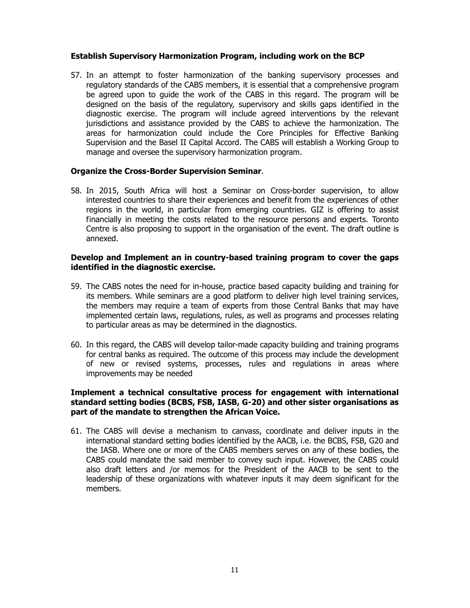#### **Establish Supervisory Harmonization Program, including work on the BCP**

57. In an attempt to foster harmonization of the banking supervisory processes and regulatory standards of the CABS members, it is essential that a comprehensive program be agreed upon to guide the work of the CABS in this regard. The program will be designed on the basis of the regulatory, supervisory and skills gaps identified in the diagnostic exercise. The program will include agreed interventions by the relevant jurisdictions and assistance provided by the CABS to achieve the harmonization. The areas for harmonization could include the Core Principles for Effective Banking Supervision and the Basel II Capital Accord. The CABS will establish a Working Group to manage and oversee the supervisory harmonization program.

#### **Organize the Cross-Border Supervision Seminar**.

58. In 2015, South Africa will host a Seminar on Cross-border supervision, to allow interested countries to share their experiences and benefit from the experiences of other regions in the world, in particular from emerging countries. GIZ is offering to assist financially in meeting the costs related to the resource persons and experts. Toronto Centre is also proposing to support in the organisation of the event. The draft outline is annexed.

#### **Develop and Implement an in country-based training program to cover the gaps identified in the diagnostic exercise.**

- 59. The CABS notes the need for in-house, practice based capacity building and training for its members. While seminars are a good platform to deliver high level training services, the members may require a team of experts from those Central Banks that may have implemented certain laws, regulations, rules, as well as programs and processes relating to particular areas as may be determined in the diagnostics.
- 60. In this regard, the CABS will develop tailor-made capacity building and training programs for central banks as required. The outcome of this process may include the development of new or revised systems, processes, rules and regulations in areas where improvements may be needed

#### **Implement a technical consultative process for engagement with international standard setting bodies (BCBS, FSB, IASB, G-20) and other sister organisations as part of the mandate to strengthen the African Voice.**

61. The CABS will devise a mechanism to canvass, coordinate and deliver inputs in the international standard setting bodies identified by the AACB, i.e. the BCBS, FSB, G20 and the IASB. Where one or more of the CABS members serves on any of these bodies, the CABS could mandate the said member to convey such input. However, the CABS could also draft letters and /or memos for the President of the AACB to be sent to the leadership of these organizations with whatever inputs it may deem significant for the members.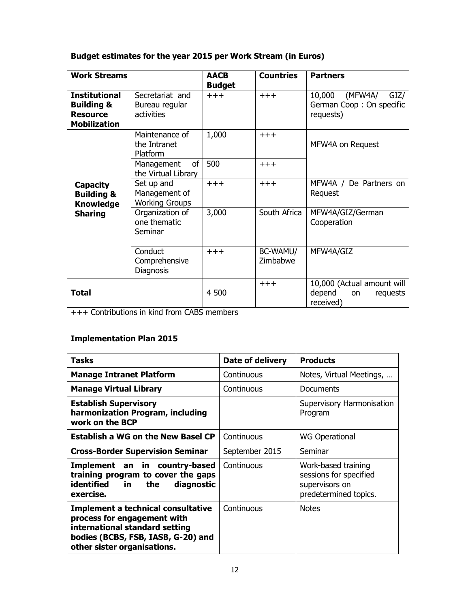## **Budget estimates for the year 2015 per Work Stream (in Euros)**

| <b>Work Streams</b>                                                                     |                                                      | <b>AACB</b><br><b>Budget</b> | <b>Countries</b>     | <b>Partners</b>                                                            |
|-----------------------------------------------------------------------------------------|------------------------------------------------------|------------------------------|----------------------|----------------------------------------------------------------------------|
| <b>Institutional</b><br><b>Building &amp;</b><br><b>Resource</b><br><b>Mobilization</b> | Secretariat and<br>Bureau regular<br>activities      | $+++$                        | $+++$                | 10,000<br>(MFW4A/<br>GIZ/<br>German Coop: On specific<br>requests)         |
|                                                                                         | Maintenance of<br>the Intranet<br>Platform           | 1,000                        | $+ + +$              | MFW4A on Request                                                           |
|                                                                                         | of<br>Management<br>the Virtual Library              | 500                          | $+++$                |                                                                            |
| <b>Capacity</b><br><b>Building &amp;</b><br><b>Knowledge</b><br><b>Sharing</b>          | Set up and<br>Management of<br><b>Working Groups</b> | $+++$                        | $+ + +$              | MFW4A / De Partners on<br>Request                                          |
|                                                                                         | Organization of<br>one thematic<br>Seminar           | 3,000                        | South Africa         | MFW4A/GIZ/German<br>Cooperation                                            |
|                                                                                         | Conduct<br>Comprehensive<br>Diagnosis                | $+++$                        | BC-WAMU/<br>Zimbabwe | MFW4A/GIZ                                                                  |
| <b>Total</b>                                                                            |                                                      | 4 500                        | $++++$               | 10,000 (Actual amount will<br>depend<br>requests<br><b>on</b><br>received) |

+++ Contributions in kind from CABS members

## **Implementation Plan 2015**

| <b>Tasks</b>                                                                                                                                                                    | Date of delivery | <b>Products</b>                                                                          |
|---------------------------------------------------------------------------------------------------------------------------------------------------------------------------------|------------------|------------------------------------------------------------------------------------------|
| <b>Manage Intranet Platform</b>                                                                                                                                                 | Continuous       | Notes, Virtual Meetings,                                                                 |
| <b>Manage Virtual Library</b>                                                                                                                                                   | Continuous       | Documents                                                                                |
| <b>Establish Supervisory</b><br>harmonization Program, including<br>work on the BCP                                                                                             |                  | Supervisory Harmonisation<br>Program                                                     |
| <b>Establish a WG on the New Basel CP</b>                                                                                                                                       | Continuous       | <b>WG Operational</b>                                                                    |
| <b>Cross-Border Supervision Seminar</b>                                                                                                                                         | September 2015   | Seminar                                                                                  |
| Implement an in country-based<br>training program to cover the gaps<br>identified<br>diagnostic<br>the<br>in l<br>exercise.                                                     | Continuous       | Work-based training<br>sessions for specified<br>supervisors on<br>predetermined topics. |
| <b>Implement a technical consultative</b><br>process for engagement with<br>international standard setting<br>bodies (BCBS, FSB, IASB, G-20) and<br>other sister organisations. | Continuous       | <b>Notes</b>                                                                             |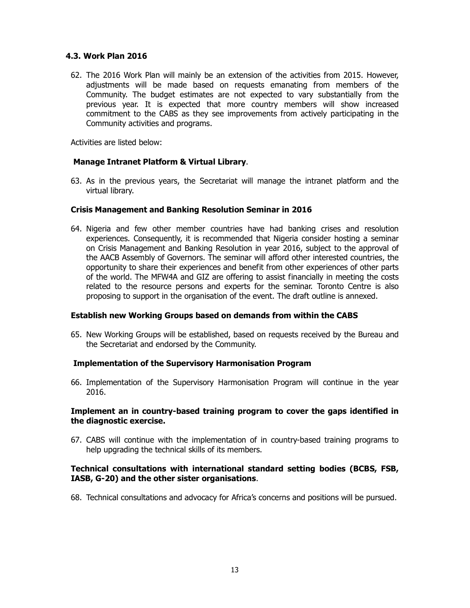### **4.3. Work Plan 2016**

62. The 2016 Work Plan will mainly be an extension of the activities from 2015. However, adjustments will be made based on requests emanating from members of the Community. The budget estimates are not expected to vary substantially from the previous year. It is expected that more country members will show increased commitment to the CABS as they see improvements from actively participating in the Community activities and programs.

Activities are listed below:

### **Manage Intranet Platform & Virtual Library**.

63. As in the previous years, the Secretariat will manage the intranet platform and the virtual library.

#### **Crisis Management and Banking Resolution Seminar in 2016**

64. Nigeria and few other member countries have had banking crises and resolution experiences. Consequently, it is recommended that Nigeria consider hosting a seminar on Crisis Management and Banking Resolution in year 2016, subject to the approval of the AACB Assembly of Governors. The seminar will afford other interested countries, the opportunity to share their experiences and benefit from other experiences of other parts of the world. The MFW4A and GIZ are offering to assist financially in meeting the costs related to the resource persons and experts for the seminar. Toronto Centre is also proposing to support in the organisation of the event. The draft outline is annexed.

#### **Establish new Working Groups based on demands from within the CABS**

65. New Working Groups will be established, based on requests received by the Bureau and the Secretariat and endorsed by the Community.

#### **Implementation of the Supervisory Harmonisation Program**

66. Implementation of the Supervisory Harmonisation Program will continue in the year 2016.

### **Implement an in country-based training program to cover the gaps identified in the diagnostic exercise.**

67. CABS will continue with the implementation of in country-based training programs to help upgrading the technical skills of its members.

### **Technical consultations with international standard setting bodies (BCBS, FSB, IASB, G-20) and the other sister organisations**.

68. Technical consultations and advocacy for Africa's concerns and positions will be pursued.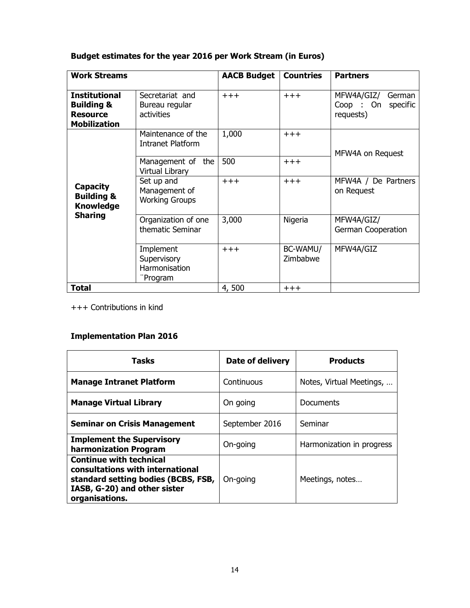# **Budget estimates for the year 2016 per Work Stream (in Euros)**

| <b>Work Streams</b>                                                                     |                                                       | <b>AACB Budget</b> | <b>Countries</b>     | <b>Partners</b>                                           |
|-----------------------------------------------------------------------------------------|-------------------------------------------------------|--------------------|----------------------|-----------------------------------------------------------|
| <b>Institutional</b><br><b>Building &amp;</b><br><b>Resource</b><br><b>Mobilization</b> | Secretariat and<br>Bureau regular<br>activities       | $+ + +$            | $+ + +$              | MFW4A/GIZ/<br>German<br>Coop: On<br>specific<br>requests) |
| <b>Capacity</b><br><b>Building &amp;</b><br><b>Knowledge</b><br><b>Sharing</b>          | Maintenance of the<br>Intranet Platform               | 1,000              | $+ + +$              | MFW4A on Request                                          |
|                                                                                         | Management of the<br><b>Virtual Library</b>           | 500                | $+ + +$              |                                                           |
|                                                                                         | Set up and<br>Management of<br><b>Working Groups</b>  | $+ + +$            | $+ + +$              | MFW4A / De Partners<br>on Request                         |
|                                                                                         | Organization of one<br>thematic Seminar               | 3,000              | Nigeria              | MFW4A/GIZ/<br>German Cooperation                          |
|                                                                                         | Implement<br>Supervisory<br>Harmonisation<br>"Program | $+ + +$            | BC-WAMU/<br>Zimbabwe | MFW4A/GIZ                                                 |
| <b>Total</b>                                                                            |                                                       | 4,500              | $+++$                |                                                           |

+++ Contributions in kind

# **Implementation Plan 2016**

| <b>Tasks</b>                                                                                                                                                | Date of delivery | <b>Products</b>           |
|-------------------------------------------------------------------------------------------------------------------------------------------------------------|------------------|---------------------------|
| <b>Manage Intranet Platform</b>                                                                                                                             | Continuous       | Notes, Virtual Meetings,  |
| <b>Manage Virtual Library</b>                                                                                                                               | On going         | Documents                 |
| <b>Seminar on Crisis Management</b>                                                                                                                         | September 2016   | Seminar                   |
| <b>Implement the Supervisory</b><br>harmonization Program                                                                                                   | On-going         | Harmonization in progress |
| <b>Continue with technical</b><br>consultations with international<br>standard setting bodies (BCBS, FSB,<br>IASB, G-20) and other sister<br>organisations. | On-going         | Meetings, notes           |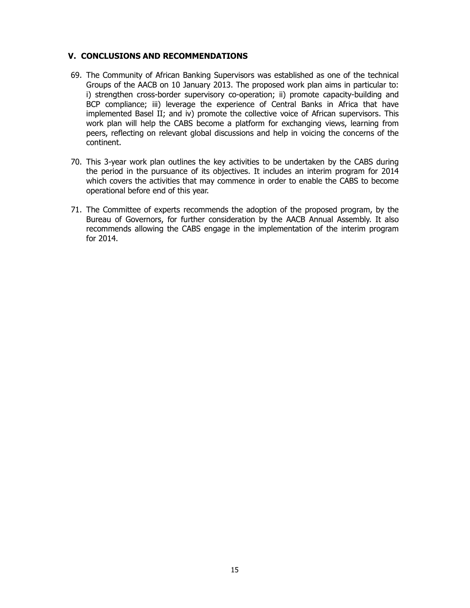#### **V. CONCLUSIONS AND RECOMMENDATIONS**

- 69. The Community of African Banking Supervisors was established as one of the technical Groups of the AACB on 10 January 2013. The proposed work plan aims in particular to: i) strengthen cross-border supervisory co-operation; ii) promote capacity-building and BCP compliance; iii) leverage the experience of Central Banks in Africa that have implemented Basel II; and iv) promote the collective voice of African supervisors. This work plan will help the CABS become a platform for exchanging views, learning from peers, reflecting on relevant global discussions and help in voicing the concerns of the continent.
- 70. This 3-year work plan outlines the key activities to be undertaken by the CABS during the period in the pursuance of its objectives. It includes an interim program for 2014 which covers the activities that may commence in order to enable the CABS to become operational before end of this year.
- 71. The Committee of experts recommends the adoption of the proposed program, by the Bureau of Governors, for further consideration by the AACB Annual Assembly. It also recommends allowing the CABS engage in the implementation of the interim program for 2014.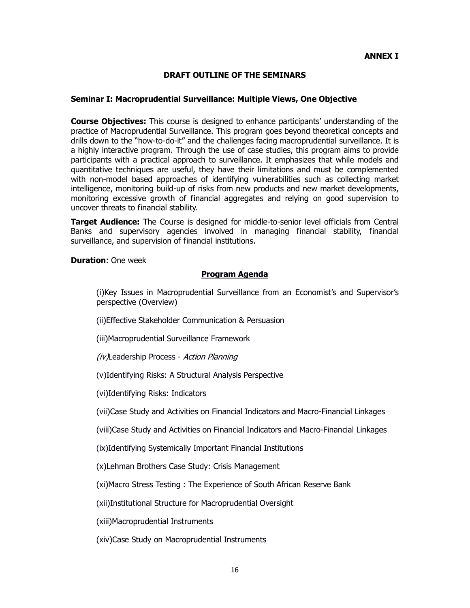#### **ANNEX I**

#### **DRAFT OUTLINE OF THE SEMINARS**

#### **Seminar I: Macroprudential Surveillance: Multiple Views, One Objective**

**Course Objectives:** This course is designed to enhance participants' understanding of the practice of Macroprudential Surveillance. This program goes beyond theoretical concepts and drills down to the "how-to-do-it" and the challenges facing macroprudential surveillance. It is a highly interactive program. Through the use of case studies, this program aims to provide participants with a practical approach to surveillance. It emphasizes that while models and quantitative techniques are useful, they have their limitations and must be complemented with non-model based approaches of identifying vulnerabilities such as collecting market intelligence, monitoring build-up of risks from new products and new market developments, monitoring excessive growth of financial aggregates and relying on good supervision to uncover threats to financial stability.

**Target Audience:** The Course is designed for middle-to-senior level officials from Central Banks and supervisory agencies involved in managing financial stability, financial surveillance, and supervision of financial institutions.

**Duration**: One week

#### **Program Agenda**

(i)Key Issues in Macroprudential Surveillance from an Economist's and Supervisor's perspective (Overview)

(ii)Effective Stakeholder Communication & Persuasion

(iii)Macroprudential Surveillance Framework

(iv)Leadership Process - Action Planning

(v)Identifying Risks: A Structural Analysis Perspective

(vi)Identifying Risks: Indicators

(vii)Case Study and Activities on Financial Indicators and Macro-Financial Linkages

(viii)Case Study and Activities on Financial Indicators and Macro-Financial Linkages

(ix)Identifying Systemically Important Financial Institutions

(x)Lehman Brothers Case Study: Crisis Management

(xi)Macro Stress Testing : The Experience of South African Reserve Bank

(xii)Institutional Structure for Macroprudential Oversight

(xiii)Macroprudential Instruments

(xiv)Case Study on Macroprudential Instruments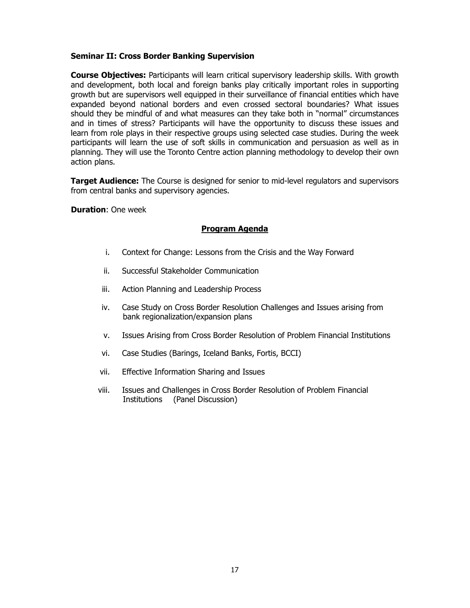#### **Seminar II: Cross Border Banking Supervision**

**Course Objectives:** Participants will learn critical supervisory leadership skills. With growth and development, both local and foreign banks play critically important roles in supporting growth but are supervisors well equipped in their surveillance of financial entities which have expanded beyond national borders and even crossed sectoral boundaries? What issues should they be mindful of and what measures can they take both in "normal" circumstances and in times of stress? Participants will have the opportunity to discuss these issues and learn from role plays in their respective groups using selected case studies. During the week participants will learn the use of soft skills in communication and persuasion as well as in planning. They will use the Toronto Centre action planning methodology to develop their own action plans.

**Target Audience:** The Course is designed for senior to mid-level regulators and supervisors from central banks and supervisory agencies.

**Duration**: One week

#### **Program Agenda**

- i. Context for Change: Lessons from the Crisis and the Way Forward
- ii. Successful Stakeholder Communication
- iii. Action Planning and Leadership Process
- iv. Case Study on Cross Border Resolution Challenges and Issues arising from bank regionalization/expansion plans
- v. Issues Arising from Cross Border Resolution of Problem Financial Institutions
- vi. Case Studies (Barings, Iceland Banks, Fortis, BCCI)
- vii. Effective Information Sharing and Issues
- viii. Issues and Challenges in Cross Border Resolution of Problem Financial Institutions (Panel Discussion)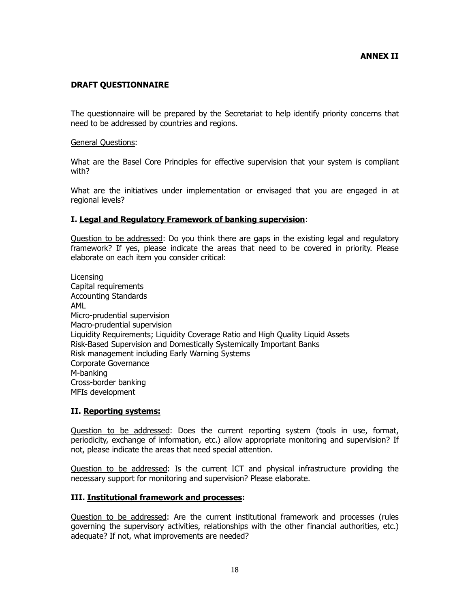#### **DRAFT QUESTIONNAIRE**

The questionnaire will be prepared by the Secretariat to help identify priority concerns that need to be addressed by countries and regions.

#### General Questions:

What are the Basel Core Principles for effective supervision that your system is compliant with?

What are the initiatives under implementation or envisaged that you are engaged in at regional levels?

#### **I. Legal and Regulatory Framework of banking supervision**:

Question to be addressed: Do you think there are gaps in the existing legal and regulatory framework? If yes, please indicate the areas that need to be covered in priority. Please elaborate on each item you consider critical:

Licensing Capital requirements Accounting Standards AML Micro-prudential supervision Macro-prudential supervision Liquidity Requirements; Liquidity Coverage Ratio and High Quality Liquid Assets Risk-Based Supervision and Domestically Systemically Important Banks Risk management including Early Warning Systems Corporate Governance M-banking Cross-border banking MFIs development

#### **II. Reporting systems:**

Question to be addressed: Does the current reporting system (tools in use, format, periodicity, exchange of information, etc.) allow appropriate monitoring and supervision? If not, please indicate the areas that need special attention.

Question to be addressed: Is the current ICT and physical infrastructure providing the necessary support for monitoring and supervision? Please elaborate.

#### **III. Institutional framework and processes:**

Question to be addressed: Are the current institutional framework and processes (rules governing the supervisory activities, relationships with the other financial authorities, etc.) adequate? If not, what improvements are needed?